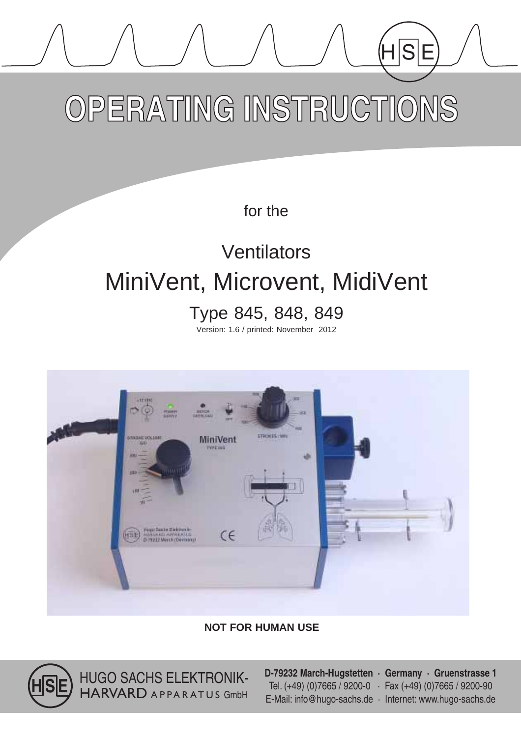# OPERATING INSTRUCTIONS

for the

## **Ventilators** MiniVent, Microvent, MidiVent

Type 845, 848, 849

Version: 1.6 / printed: November 2012



## **NOT FOR HUMAN USE**



HUGO SACHS ELEKTRONIK-HARVARD APPARATUS GmbH **D-79232 March-Hugstetten · Germany · Gruenstrasse 1** Tel.  $(+49)$  (0)7665 / 9200-0  $\cdot$  Fax  $(+49)$  (0)7665 / 9200-90 E-Mail: info@hugo-sachs.de · Internet: www.hugo-sachs.de

 $\overleftarrow{\mathsf{HS}}$ 

Ė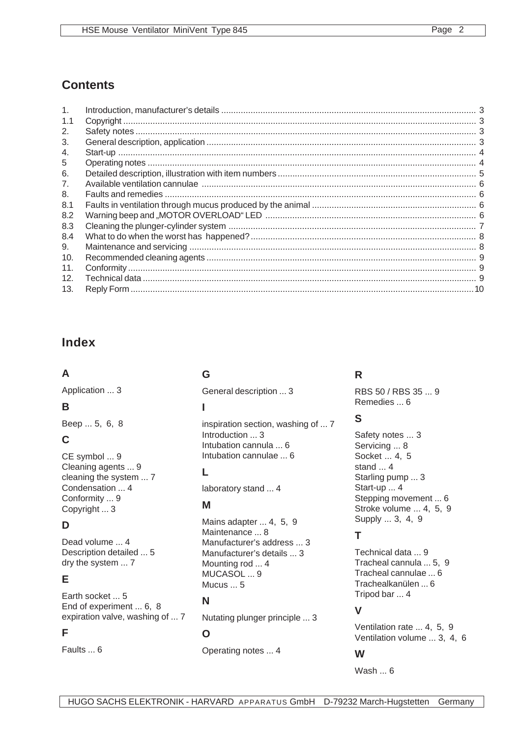## **Contents**

| 1.  |  |
|-----|--|
| 1.1 |  |
| 2.  |  |
| 3.  |  |
| 4.  |  |
| 5   |  |
| 6.  |  |
| 7.  |  |
| 8.  |  |
| 8.1 |  |
| 8.2 |  |
| 8.3 |  |
| 8.4 |  |
| 9.  |  |
| 10. |  |
| 11. |  |
| 12. |  |
| 13. |  |

## **Index**

## **A**

Application ... 3

## **B**

Beep ... 5, 6, 8

## **C**

CE symbol ... 9 Cleaning agents ... 9 cleaning the system ... 7 Condensation ... 4 Conformity ... 9 Copyright ... 3

## **D**

Dead volume ... 4 Description detailed ... 5 dry the system ... 7

## **E**

Earth socket ... 5 End of experiment ... 6, 8 expiration valve, washing of ... 7

## **F**

Faults ... 6

## **G**

General description ... 3

## **I**

inspiration section, washing of ... 7 Introduction ... 3 Intubation cannula ... 6 Intubation cannulae ... 6

## **L**

laboratory stand ... 4

## **M**

Mains adapter ... 4, 5, 9 Maintenance ... 8 Manufacturer's address ... 3 Manufacturer's details ... 3 Mounting rod ... 4 MUCASOL ... 9 Mucus ... 5

## **N**

Nutating plunger principle ... 3

## **O**

Operating notes ... 4

## **R**

RBS 50 / RBS 35 ... 9 Remedies ... 6

## **S**

Safety notes ... 3 Servicing ... 8 Socket ... 4, 5 stand ... 4 Starling pump ... 3 Start-up ... 4 Stepping movement ... 6 Stroke volume ... 4, 5, 9 Supply ... 3, 4, 9

## **T**

Technical data ... 9 Tracheal cannula ... 5, 9 Tracheal cannulae ... 6 Trachealkanülen ... 6 Tripod bar ... 4

## **V**

Ventilation rate ... 4, 5, 9 Ventilation volume ... 3, 4, 6

## **W**

Wash ... 6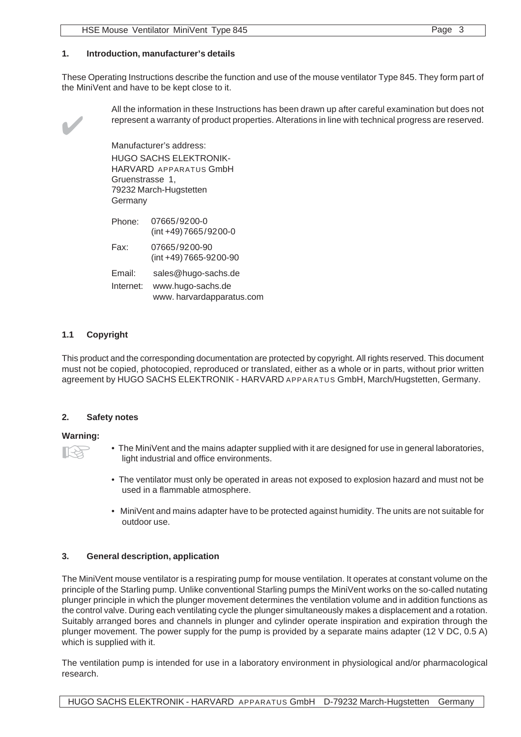#### **1. Introduction, manufacturer's details**

These Operating Instructions describe the function and use of the mouse ventilator Type 845. They form part of the MiniVent and have to be kept close to it.



All the information in these Instructions has been drawn up after careful examination but does not represent a warranty of product properties. Alterations in line with technical progress are reserved.

Manufacturer's address: HUGO SACHS ELEKTRONIK-HARVARD APPARATUS GmbH Gruenstrasse 1, 79232 March-Hugstetten **Germany** 

| Phone:    | 07665/9200-0<br>(int +49) 7665/9200-0         |
|-----------|-----------------------------------------------|
| Fax:      | 07665/9200-90<br>(int +49) 7665-9200-90       |
| Email:    | sales@hugo-sachs.de                           |
| Internet: | www.hugo-sachs.de<br>www.harvardapparatus.com |

#### **1.1 Copyright**

This product and the corresponding documentation are protected by copyright. All rights reserved. This document must not be copied, photocopied, reproduced or translated, either as a whole or in parts, without prior written agreement by HUGO SACHS ELEKTRONIK - HARVARD APPARATUS GmbH, March/Hugstetten, Germany.

#### **2. Safety notes**

#### **Warning:**

- 
- The MiniVent and the mains adapter supplied with it are designed for use in general laboratories, light industrial and office environments.
- The ventilator must only be operated in areas not exposed to explosion hazard and must not be used in a flammable atmosphere.
- MiniVent and mains adapter have to be protected against humidity. The units are not suitable for outdoor use.

#### **3. General description, application**

The MiniVent mouse ventilator is a respirating pump for mouse ventilation. It operates at constant volume on the principle of the Starling pump. Unlike conventional Starling pumps the MiniVent works on the so-called nutating plunger principle in which the plunger movement determines the ventilation volume and in addition functions as the control valve. During each ventilating cycle the plunger simultaneously makes a displacement and a rotation. Suitably arranged bores and channels in plunger and cylinder operate inspiration and expiration through the plunger movement. The power supply for the pump is provided by a separate mains adapter (12 V DC, 0.5 A) which is supplied with it.

The ventilation pump is intended for use in a laboratory environment in physiological and/or pharmacological research.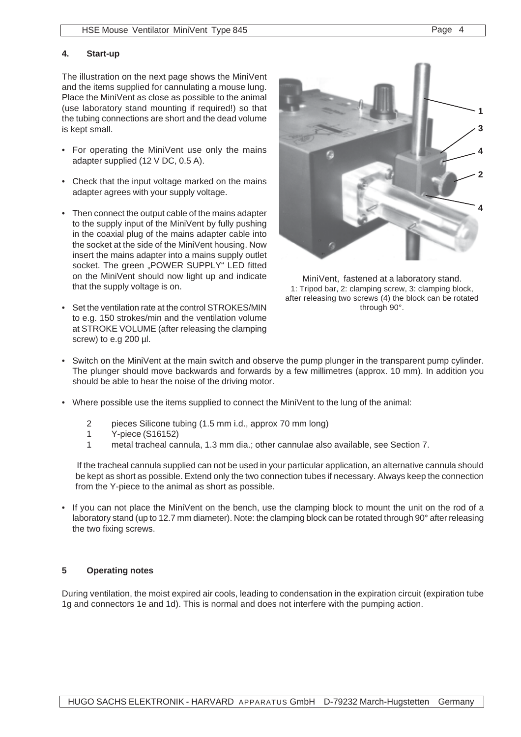#### **4. Start-up**

The illustration on the next page shows the MiniVent and the items supplied for cannulating a mouse lung. Place the MiniVent as close as possible to the animal (use laboratory stand mounting if required!) so that the tubing connections are short and the dead volume is kept small.

- For operating the MiniVent use only the mains adapter supplied (12 V DC, 0.5 A).
- Check that the input voltage marked on the mains adapter agrees with your supply voltage.
- Then connect the output cable of the mains adapter to the supply input of the MiniVent by fully pushing in the coaxial plug of the mains adapter cable into the socket at the side of the MiniVent housing. Now insert the mains adapter into a mains supply outlet socket. The green "POWER SUPPLY" LED fitted on the MiniVent should now light up and indicate that the supply voltage is on.
- Set the ventilation rate at the control STROKES/MIN to e.g. 150 strokes/min and the ventilation volume at STROKE VOLUME (after releasing the clamping screw) to e.g 200 µl.



MiniVent, fastened at a laboratory stand. 1: Tripod bar, 2: clamping screw, 3: clamping block, after releasing two screws (4) the block can be rotated through 90°.

- Switch on the MiniVent at the main switch and observe the pump plunger in the transparent pump cylinder. The plunger should move backwards and forwards by a few millimetres (approx. 10 mm). In addition you should be able to hear the noise of the driving motor.
- Where possible use the items supplied to connect the MiniVent to the lung of the animal:
	- 2 pieces Silicone tubing (1.5 mm i.d., approx 70 mm long)
	- 1 Y-piece (S16152)
	- 1 metal tracheal cannula, 1.3 mm dia.; other cannulae also available, see Section 7.

If the tracheal cannula supplied can not be used in your particular application, an alternative cannula should be kept as short as possible. Extend only the two connection tubes if necessary. Always keep the connection from the Y-piece to the animal as short as possible.

• If you can not place the MiniVent on the bench, use the clamping block to mount the unit on the rod of a laboratory stand (up to 12.7 mm diameter). Note: the clamping block can be rotated through 90° after releasing the two fixing screws.

#### **5 Operating notes**

During ventilation, the moist expired air cools, leading to condensation in the expiration circuit (expiration tube 1g and connectors 1e and 1d). This is normal and does not interfere with the pumping action.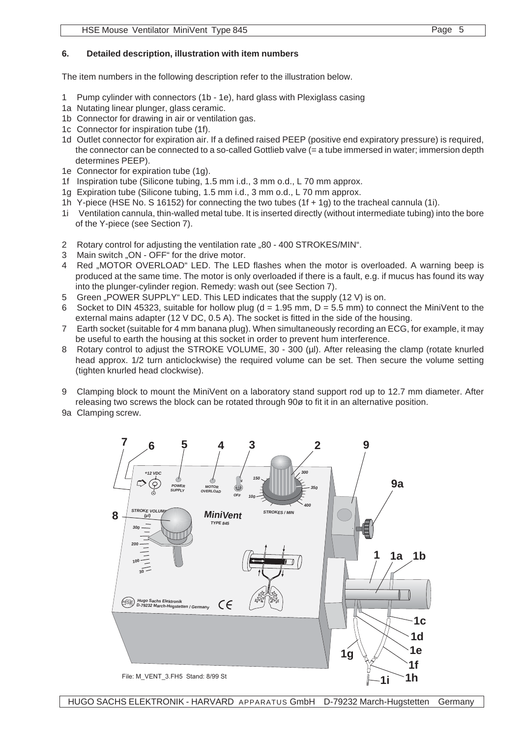The item numbers in the following description refer to the illustration below.

- 1 Pump cylinder with connectors (1b 1e), hard glass with Plexiglass casing
- 1a Nutating linear plunger, glass ceramic.
- 1b Connector for drawing in air or ventilation gas.
- 1c Connector for inspiration tube (1f).
- 1d Outlet connector for expiration air. If a defined raised PEEP (positive end expiratory pressure) is required, the connector can be connected to a so-called Gottlieb valve (= a tube immersed in water; immersion depth determines PEEP).
- 1e Connector for expiration tube (1g).
- 1f Inspiration tube (Silicone tubing, 1.5 mm i.d., 3 mm o.d., L 70 mm approx.
- 1g Expiration tube (Silicone tubing, 1.5 mm i.d., 3 mm o.d., L 70 mm approx.
- 1h Y-piece (HSE No. S 16152) for connecting the two tubes (1f + 1g) to the tracheal cannula (1i).
- 1i Ventilation cannula, thin-walled metal tube. It is inserted directly (without intermediate tubing) into the bore of the Y-piece (see Section 7).
- 2 Rotary control for adjusting the ventilation rate "80 400 STROKES/MIN".
- 3 Main switch "ON OFF" for the drive motor.
- 4 Red ..MOTOR OVERLOAD" LED. The LED flashes when the motor is overloaded. A warning beep is produced at the same time. The motor is only overloaded if there is a fault, e.g. if mucus has found its way into the plunger-cylinder region. Remedy: wash out (see Section 7).
- 5 Green "POWER SUPPLY" LED. This LED indicates that the supply (12 V) is on.
- 6 Socket to DIN 45323, suitable for hollow plug ( $d = 1.95$  mm,  $D = 5.5$  mm) to connect the MiniVent to the external mains adapter (12 V DC, 0.5 A). The socket is fitted in the side of the housing.
- 7 Earth socket (suitable for 4 mm banana plug). When simultaneously recording an ECG, for example, it may be useful to earth the housing at this socket in order to prevent hum interference.
- 8 Rotary control to adjust the STROKE VOLUME, 30 300 (µl). After releasing the clamp (rotate knurled head approx. 1/2 turn anticlockwise) the required volume can be set. Then secure the volume setting (tighten knurled head clockwise).
- 9 Clamping block to mount the MiniVent on a laboratory stand support rod up to 12.7 mm diameter. After releasing two screws the block can be rotated through 90ø to fit it in an alternative position.
- 9a Clamping screw.

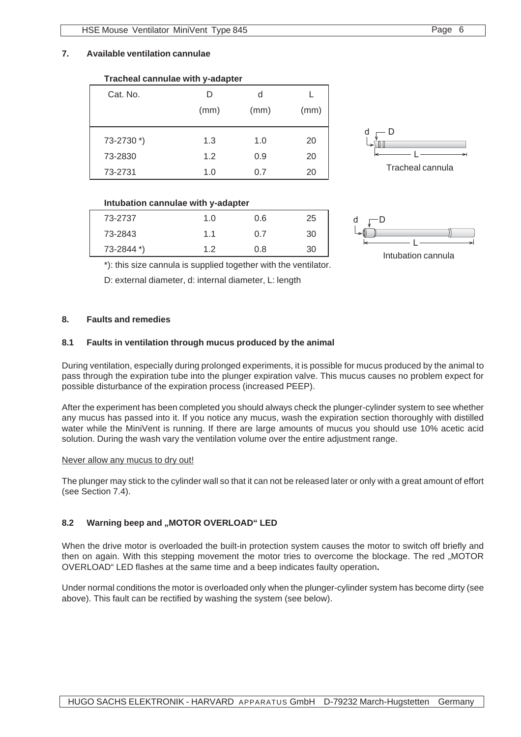**Tracheal cannulae with y-adapter**

#### **7. Available ventilation cannulae**

| Cat. No.   | D    | d    |      |
|------------|------|------|------|
|            | (mm) | (mm) | (mm) |
|            |      |      |      |
| 73-2730 *) | 1.3  | 1.0  | 20   |
| 73-2830    | 1.2  | 0.9  | 20   |
| 73-2731    | 1.0  | 0.7  | 20   |



#### **Intubation cannulae with y-adapter**

| 73-2737    | 1.0 | 0.6 | 25 |
|------------|-----|-----|----|
| 73-2843    | 1.1 | 0.7 | 30 |
| 73-2844 *) | 1.2 | 0.8 | 30 |



Intubation cannula

\*): this size cannula is supplied together with the ventilator.

D: external diameter, d: internal diameter, L: length

#### **8. Faults and remedies**

#### **8.1 Faults in ventilation through mucus produced by the animal**

During ventilation, especially during prolonged experiments, it is possible for mucus produced by the animal to pass through the expiration tube into the plunger expiration valve. This mucus causes no problem expect for possible disturbance of the expiration process (increased PEEP).

After the experiment has been completed you should always check the plunger-cylinder system to see whether any mucus has passed into it. If you notice any mucus, wash the expiration section thoroughly with distilled water while the MiniVent is running. If there are large amounts of mucus you should use 10% acetic acid solution. During the wash vary the ventilation volume over the entire adjustment range.

#### Never allow any mucus to dry out!

The plunger may stick to the cylinder wall so that it can not be released later or only with a great amount of effort (see Section 7.4).

#### 8.2 Warning beep and "MOTOR OVERLOAD" LED

When the drive motor is overloaded the built-in protection system causes the motor to switch off briefly and then on again. With this stepping movement the motor tries to overcome the blockage. The red "MOTOR OVERLOAD" LED flashes at the same time and a beep indicates faulty operation**.**

Under normal conditions the motor is overloaded only when the plunger-cylinder system has become dirty (see above). This fault can be rectified by washing the system (see below).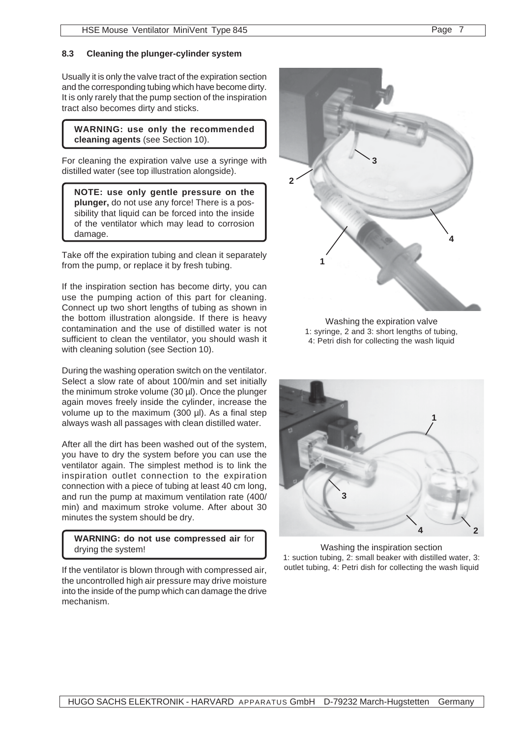#### **8.3 Cleaning the plunger-cylinder system**

Usually it is only the valve tract of the expiration section and the corresponding tubing which have become dirty. It is only rarely that the pump section of the inspiration tract also becomes dirty and sticks.

**WARNING: use only the recommended cleaning agents** (see Section 10).

For cleaning the expiration valve use a syringe with distilled water (see top illustration alongside).

**NOTE: use only gentle pressure on the plunger,** do not use any force! There is a possibility that liquid can be forced into the inside of the ventilator which may lead to corrosion damage.

Take off the expiration tubing and clean it separately from the pump, or replace it by fresh tubing.

If the inspiration section has become dirty, you can use the pumping action of this part for cleaning. Connect up two short lengths of tubing as shown in the bottom illustration alongside. If there is heavy contamination and the use of distilled water is not sufficient to clean the ventilator, you should wash it with cleaning solution (see Section 10).

During the washing operation switch on the ventilator. Select a slow rate of about 100/min and set initially the minimum stroke volume (30 µl). Once the plunger again moves freely inside the cylinder, increase the volume up to the maximum (300 µl). As a final step always wash all passages with clean distilled water.

After all the dirt has been washed out of the system, you have to dry the system before you can use the ventilator again. The simplest method is to link the inspiration outlet connection to the expiration connection with a piece of tubing at least 40 cm long, and run the pump at maximum ventilation rate (400/ min) and maximum stroke volume. After about 30 minutes the system should be dry.

**WARNING: do not use compressed air** for drying the system!

If the ventilator is blown through with compressed air, the uncontrolled high air pressure may drive moisture into the inside of the pump which can damage the drive mechanism.



Washing the expiration valve 1: syringe, 2 and 3: short lengths of tubing, 4: Petri dish for collecting the wash liquid



Washing the inspiration section 1: suction tubing, 2: small beaker with distilled water, 3: outlet tubing, 4: Petri dish for collecting the wash liquid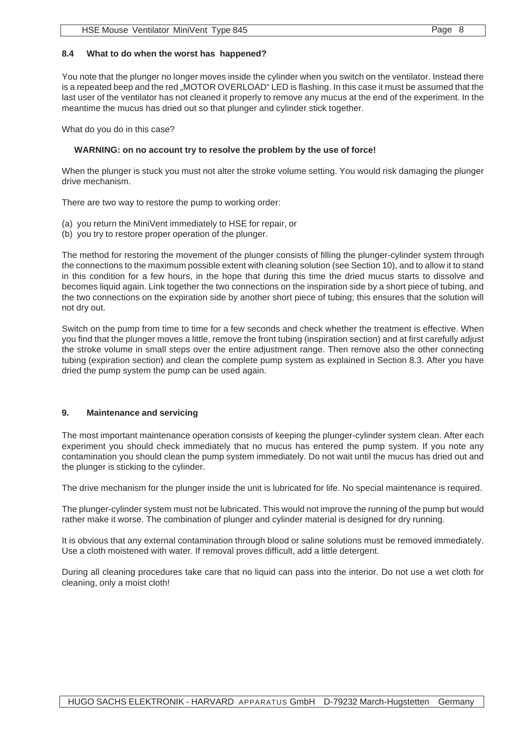#### **8.4 What to do when the worst has happened?**

You note that the plunger no longer moves inside the cylinder when you switch on the ventilator. Instead there is a repeated beep and the red "MOTOR OVERLOAD" LED is flashing. In this case it must be assumed that the last user of the ventilator has not cleaned it properly to remove any mucus at the end of the experiment. In the meantime the mucus has dried out so that plunger and cylinder stick together.

What do you do in this case?

#### **WARNING: on no account try to resolve the problem by the use of force!**

When the plunger is stuck you must not alter the stroke volume setting. You would risk damaging the plunger drive mechanism.

There are two way to restore the pump to working order:

- (a) you return the MiniVent immediately to HSE for repair, or
- (b) you try to restore proper operation of the plunger.

The method for restoring the movement of the plunger consists of filling the plunger-cylinder system through the connections to the maximum possible extent with cleaning solution (see Section 10), and to allow it to stand in this condition for a few hours, in the hope that during this time the dried mucus starts to dissolve and becomes liquid again. Link together the two connections on the inspiration side by a short piece of tubing, and the two connections on the expiration side by another short piece of tubing; this ensures that the solution will not dry out.

Switch on the pump from time to time for a few seconds and check whether the treatment is effective. When you find that the plunger moves a little, remove the front tubing (inspiration section) and at first carefully adjust the stroke volume in small steps over the entire adjustment range. Then remove also the other connecting tubing (expiration section) and clean the complete pump system as explained in Section 8.3. After you have dried the pump system the pump can be used again.

#### **9. Maintenance and servicing**

The most important maintenance operation consists of keeping the plunger-cylinder system clean. After each experiment you should check immediately that no mucus has entered the pump system. If you note any contamination you should clean the pump system immediately. Do not wait until the mucus has dried out and the plunger is sticking to the cylinder.

The drive mechanism for the plunger inside the unit is lubricated for life. No special maintenance is required.

The plunger-cylinder system must not be lubricated. This would not improve the running of the pump but would rather make it worse. The combination of plunger and cylinder material is designed for dry running.

It is obvious that any external contamination through blood or saline solutions must be removed immediately. Use a cloth moistened with water. If removal proves difficult, add a little detergent.

During all cleaning procedures take care that no liquid can pass into the interior. Do not use a wet cloth for cleaning, only a moist cloth!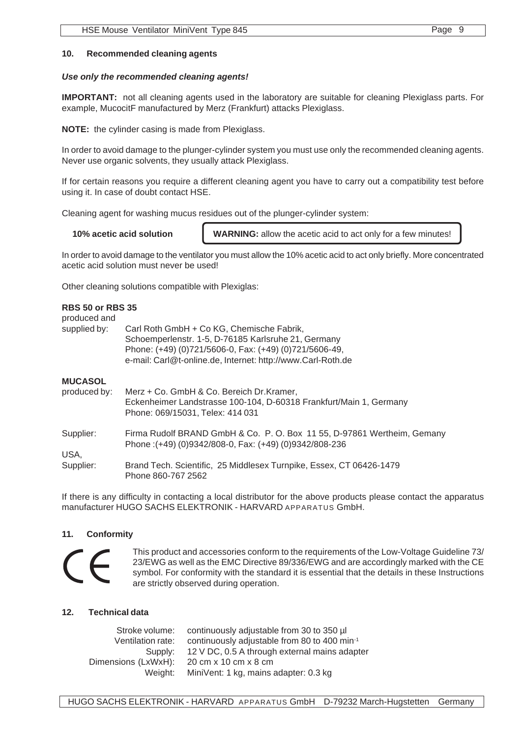#### **10. Recommended cleaning agents**

#### *Use only the recommended cleaning agents!*

**IMPORTANT:** not all cleaning agents used in the laboratory are suitable for cleaning Plexiglass parts. For example, MucocitF manufactured by Merz (Frankfurt) attacks Plexiglass.

**NOTE:** the cylinder casing is made from Plexiglass.

In order to avoid damage to the plunger-cylinder system you must use only the recommended cleaning agents. Never use organic solvents, they usually attack Plexiglass.

If for certain reasons you require a different cleaning agent you have to carry out a compatibility test before using it. In case of doubt contact HSE.

Cleaning agent for washing mucus residues out of the plunger-cylinder system:

**10% acetic acid solution WARNING:** allow the acetic acid to act only for a few minutes!

In order to avoid damage to the ventilator you must allow the 10% acetic acid to act only briefly. More concentrated acetic acid solution must never be used!

Other cleaning solutions compatible with Plexiglas:

#### **RBS 50 or RBS 35**

| ,,,,,,,,,,,,,,,,,<br>produced and |                                                                                                                                                                                                                           |
|-----------------------------------|---------------------------------------------------------------------------------------------------------------------------------------------------------------------------------------------------------------------------|
| supplied by:                      | Carl Roth GmbH + Co KG, Chemische Fabrik,<br>Schoemperlenstr. 1-5, D-76185 Karlsruhe 21, Germany<br>Phone: (+49) (0)721/5606-0, Fax: (+49) (0)721/5606-49,<br>e-mail: Carl@t-online.de, Internet: http://www.Carl-Roth.de |
| <b>MUCASOL</b><br>produced by:    | Merz + Co. GmbH & Co. Bereich Dr.Kramer,<br>Eckenheimer Landstrasse 100-104, D-60318 Frankfurt/Main 1, Germany<br>Phone: 069/15031, Telex: 414 031                                                                        |
| Supplier:<br>USA.                 | Firma Rudolf BRAND GmbH & Co. P. O. Box 11 55, D-97861 Wertheim, Gemany<br>Phone: (+49) (0)9342/808-0, Fax: (+49) (0)9342/808-236                                                                                         |
| Supplier:                         | Brand Tech. Scientific, 25 Middlesex Turnpike, Essex, CT 06426-1479<br>Phone 860-767 2562                                                                                                                                 |

If there is any difficulty in contacting a local distributor for the above products please contact the apparatus manufacturer HUGO SACHS ELEKTRONIK - HARVARD APPARATUS GmbH.

#### **11. Conformity**



This product and accessories conform to the requirements of the Low-Voltage Guideline 73/ 23/EWG as well as the EMC Directive 89/336/EWG and are accordingly marked with the CE symbol. For conformity with the standard it is essential that the details in these Instructions are strictly observed during operation.

#### **12. Technical data**

| Stroke volume:      | continuously adjustable from 30 to 350 µl                |
|---------------------|----------------------------------------------------------|
| Ventilation rate:   | continuously adjustable from 80 to 400 min <sup>-1</sup> |
| Supply:             | 12 V DC, 0.5 A through external mains adapter            |
| Dimensions (LxWxH): | 20 cm x 10 cm x 8 cm                                     |
| Weight:             | MiniVent: 1 kg, mains adapter: 0.3 kg                    |
|                     |                                                          |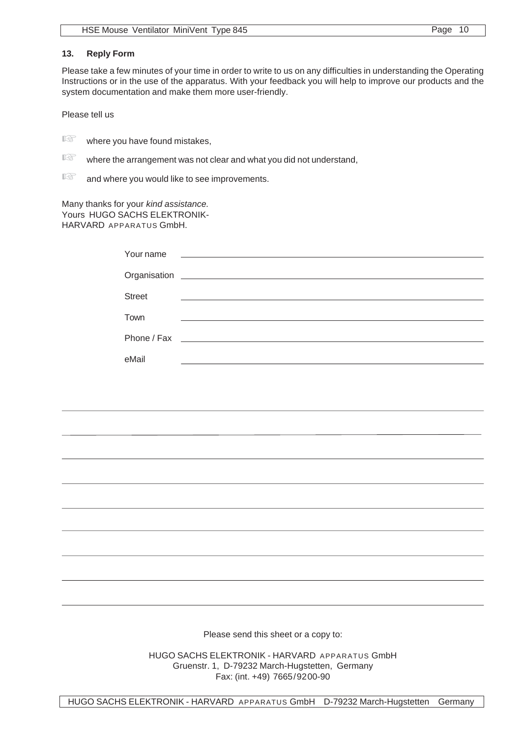#### **13. Reply Form**

Please take a few minutes of your time in order to write to us on any difficulties in understanding the Operating Instructions or in the use of the apparatus. With your feedback you will help to improve our products and the system documentation and make them more user-friendly.

Please tell us

 $\mathbb{R}$  where you have found mistakes,

 $\mathbb{R}$  where the arrangement was not clear and what you did not understand,

 $\mathbb{R}$  and where you would like to see improvements.

Many thanks for your *kind assistance.* Yours HUGO SACHS ELEKTRONIK-HARVARD APPARATUS GmbH.

| Your name     | <u> 1980 - Jan Samuel Barbara, martin a shekara tshkollari na shekara tshkollari na shekara tshkollari na shekara</u> |
|---------------|-----------------------------------------------------------------------------------------------------------------------|
|               |                                                                                                                       |
| <b>Street</b> |                                                                                                                       |
| Town          | the contract of the contract of the contract of the contract of the contract of the contract of                       |
|               |                                                                                                                       |
|               |                                                                                                                       |
| eMail         |                                                                                                                       |

Please send this sheet or a copy to:

HUGO SACHS ELEKTRONIK - HARVARD APPARATUS GmbH Gruenstr. 1, D-79232 March-Hugstetten, Germany Fax: (int. +49) 7665/9200-90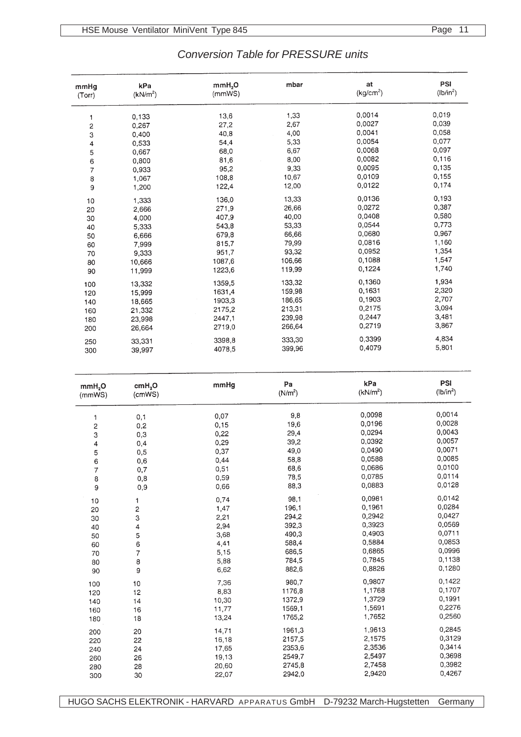| <b>Conversion Table for PRESSURE units</b> |
|--------------------------------------------|
|--------------------------------------------|

| mmHq                    | kPa                     | mmH <sub>2</sub> O | mbar                | at<br>(kg/cm <sup>2</sup> ) | PSI<br>(lb/in <sup>2</sup> ) |
|-------------------------|-------------------------|--------------------|---------------------|-----------------------------|------------------------------|
| (Torr)                  | (kN/m <sup>2</sup> )    | (mmWS)             |                     |                             |                              |
| 1                       | 0,133                   | 13,6               | 1,33                | 0,0014                      | 0,019                        |
| $\overline{\mathbf{c}}$ | 0,267                   | 27,2               | 2,67                | 0,0027                      | 0,039                        |
| 3                       | 0,400                   | 40,8               | 4,00                | 0,0041                      | 0,058                        |
| 4                       | 0,533                   | 54,4               | 5,33                | 0,0054                      | 0,077                        |
|                         | 0,667                   | 68,0               | 6,67                | 0,0068                      | 0,097                        |
| $\frac{5}{6}$           | 0,800                   | 81,6               | 8,00                | 0,0082                      | 0,116                        |
| $\overline{7}$          | 0,933                   | 95,2               | 9,33                | 0,0095                      | 0,135                        |
| 8                       | 1,067                   | 108,8              | 10,67               | 0,0109                      | 0,155                        |
| 9                       | 1,200                   | 122,4              | 12,00               | 0,0122                      | 0,174                        |
| 10                      | 1,333                   | 136,0              | 13,33               | 0,0136                      | 0,193                        |
| 20                      | 2,666                   | 271,9              | 26,66               | 0,0272                      | 0,387                        |
| 30                      | 4,000                   | 407,9              | 40,00               | 0,0408                      | 0,580                        |
| 40                      | 5,333                   | 543,8              | 53,33               | 0,0544                      | 0,773                        |
| 50                      | 6,666                   | 679,8              | 66,66               | 0,0680                      | 0,967                        |
| 60                      | 7,999                   | 815,7              | 79,99               | 0,0816                      | 1,160                        |
| 70                      | 9,333                   | 951,7              | 93,32               | 0,0952                      | 1,354                        |
| 80                      | 10,666                  | 1087,6             | 106,66              | 0,1088                      | 1,547                        |
| 90                      | 11,999                  | 1223,6             | 119,99              | 0,1224                      | 1,740                        |
| 100                     | 13,332                  | 1359,5             | 133,32              | 0,1360                      | 1,934                        |
| 120                     | 15,999                  | 1631,4             | 159,98              | 0,1631                      | 2,320                        |
| 140                     | 18,665                  | 1903,3             | 186,65              | 0,1903                      | 2,707                        |
| 160                     | 21,332                  | 2175,2             | 213,31              | 0,2175                      | 3,094                        |
| 180                     | 23,998                  | 2447,1             | 239,98              | 0,2447                      | 3,481                        |
| 200                     | 26,664                  | 2719,0             | 266,64              | 0,2719                      | 3,867                        |
| 250                     | 33,331                  | 3398,8             | 333,30              | 0,3399                      | 4,834                        |
| 300                     | 39,997                  | 4078,5             | 399,96              | 0,4079                      | 5,801                        |
|                         |                         |                    |                     |                             |                              |
| mmH <sub>2</sub> O      | cmH <sub>2</sub> O      | mmHg               | Pa                  | kPa                         | PSI                          |
|                         |                         |                    |                     |                             |                              |
| (mmWS)                  | (cmWS)                  |                    | (N/m <sup>2</sup> ) | (kN/m <sup>2</sup> )        | (lb/in <sup>2</sup> )        |
|                         |                         |                    |                     | 0,0098                      | 0,0014                       |
| 1                       | 0,1                     | 0,07               | 9,8                 | 0,0196                      | 0,0028                       |
| $\overline{\mathbf{c}}$ | 0,2                     | 0,15               | 19,6                |                             | 0,0043                       |
| 3                       | 0,3                     | 0,22               | 29,4                | 0,0294<br>0,0392            | 0,0057                       |
| 4                       | 0,4                     | 0,29               | 39,2                |                             | 0,0071                       |
| 5                       | 0,5                     | 0,37               | 49,0                | 0,0490                      |                              |
| 6                       | 0,6                     | 0,44               | 58,8                | 0,0588                      | 0,0085                       |
| 7                       | 0,7                     | 0,51               | 68,6                | 0,0686                      | 0,0100<br>0,0114             |
| 8<br>9                  | 0,8<br>0,9              | 0,59<br>0,66       | 78,5<br>88,3        | 0,0785<br>0,0883            | 0,0128                       |
|                         | 1                       | 0,74               | 98,1                | 0,0981                      | 0,0142                       |
| 10                      |                         |                    | 196,1               | 0,1961                      | 0,0284                       |
| 20                      | $\overline{\mathbf{c}}$ | 1,47               | 294,2               | 0,2942                      | 0,0427                       |
| 30                      | 3                       | 2,21               | 392,3               | 0,3923                      | 0,0569                       |
| 40                      | 4                       | 2,94<br>3,68       | 490,3               | 0,4903                      | 0,0711                       |
| 50                      | 5                       |                    | 588,4               | 0,5884                      | 0,0853                       |
| 60                      | 6                       | 4,41               | 686,5               | 0,6865                      | 0,0996                       |
| 70                      | $\overline{7}$          | 5,15               |                     | 0,7845                      | 0,1138                       |
| 80<br>90                | 8<br>9                  | 5,88<br>6,62       | 784,5<br>882,6      | 0,8826                      | 0,1280                       |
| 100                     | 10                      | 7,36               | 980,7               | 0,9807                      | 0,1422                       |
| 120                     | 12                      | 8,83               | 1176,8              | 1,1768                      | 0,1707                       |
| 140                     | 14                      | 10,30              | 1372,9              | 1,3729                      | 0,1991                       |
| 160                     | 16                      | 11,77              | 1569,1              | 1,5691                      | 0,2276                       |
| 180                     | 18                      | 13,24              | 1765,2              | 1,7652                      | 0,2560                       |
| 200                     | 20                      | 14,71              | 1961,3              | 1,9613                      | 0,2845                       |
| 220                     | 22                      | 16,18              | 2157,5              | 2,1575                      | 0,3129                       |
| 240                     | 24                      | 17,65              | 2353,6              | 2,3536                      | 0,3414                       |
| 260                     | 26                      | 19,13              | 2549,7              | 2,5497                      | 0,3698                       |
| 280<br>300              | 28<br>30                | 20,60<br>22,07     | 2745,8<br>2942,0    | 2,7458<br>2,9420            | 0,3982<br>0,4267             |

HUGO SACHS ELEKTRONIK - HARVARD APPARATUS GmbH D-79232 March-Hugstetten Germany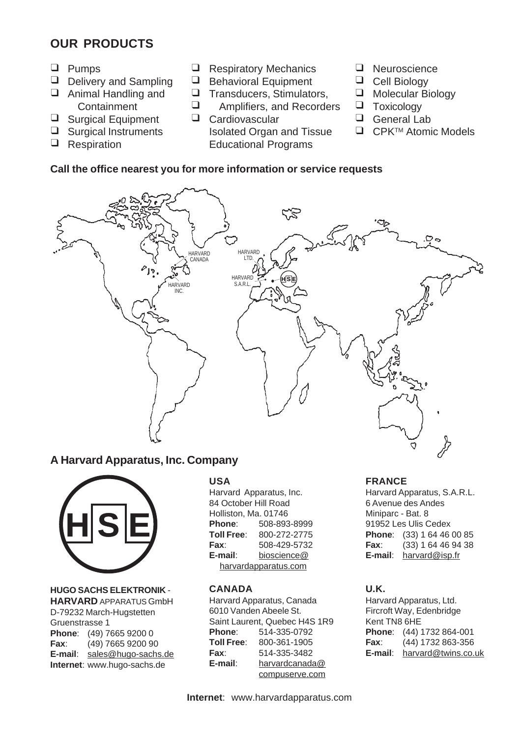## **OUR PRODUCTS**

- T Pumps
- D **Delivery and Sampling**
- **T** Animal Handling and **Containment**
- **Surgical Equipment**
- **u** Surgical Instruments
- **Q** Respiration
- **B** Respiratory Mechanics
- $\Box$ Behavioral Equipment
- $\Box$ Transducers, Stimulators,
- $\Box$ Amplifiers, and Recorders
- T Cardiovascular Isolated Organ and Tissue Educational Programs
- T Neuroscience
- **Q** Cell Biology
- □ Molecular Biology
- **T** Toxicology
- T General Lab
- □ CPK<sup>™</sup> Atomic Models

## **Call the office nearest you for more information or service requests**



## **A Harvard Apparatus, Inc. Company**



**HUGO SACHS ELEKTRONIK** - **HARVARD** APPARATUS GmbH D-79232 March-Hugstetten Gruenstrasse 1 **Phone**: (49) 7665 9200 0 **Fax**: (49) 7665 9200 90 **E-mail**: sales@hugo-sachs.de **Internet**: www.hugo-sachs.de

#### **USA**

Harvard Apparatus, Inc. 84 October Hill Road Holliston, Ma. 01746 **Phone**: 508-893-8999 **Toll Free**: 800-272-2775 **Fax**: 508-429-5732 **E-mail**: bioscience@ harvardapparatus.com

#### **CANADA**

Harvard Apparatus, Canada 6010 Vanden Abeele St. Saint Laurent, Quebec H4S 1R9 **Phone**: 514-335-0792 **Toll Free**: 800-361-1905 **Fax**: 514-335-3482 **E-mail**: harvardcanada@ compuserve.com

#### **FRANCE**

Harvard Apparatus, S.A.R.L. 6 Avenue des Andes Miniparc - Bat. 8 91952 Les Ulis Cedex **Phone**: (33) 1 64 46 00 85 **Fax**: (33) 1 64 46 94 38 **E-mail**: harvard@isp.fr

#### **U.K.**

Harvard Apparatus, Ltd. Fircroft Way, Edenbridge Kent TN8 6HE **Phone**: (44) 1732 864-001 **Fax**: (44) 1732 863-356 **E-mail**: harvard@twins.co.uk